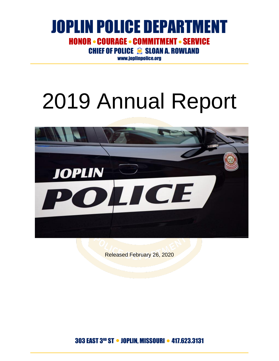**CHIEF OF POLICE SE SLOAN A. ROWLAND** 

[www.joplinpolice.org](http://www.joplinpolice.org/)

# 2019 Annual Report



Released February 26, 2020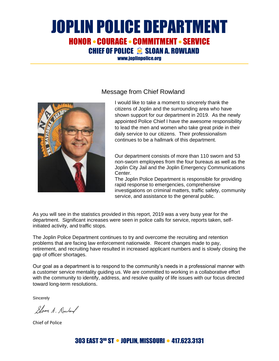**CHIEF OF POLICE S SLOAN A. ROWLAND** 

[www.joplinpolice.org](http://www.joplinpolice.org/)



#### Message from Chief Rowland

I would like to take a moment to sincerely thank the citizens of Joplin and the surrounding area who have shown support for our department in 2019. As the newly appointed Police Chief I have the awesome responsibility to lead the men and women who take great pride in their daily service to our citizens. Their professionalism continues to be a hallmark of this department.

Our department consists of more than 110 sworn and 53 non-sworn employees from the four bureaus as well as the Joplin City Jail and the Joplin Emergency Communications Center.

The Joplin Police Department is responsible for providing rapid response to emergencies, comprehensive investigations on criminal matters, traffic safety, community service, and assistance to the general public.

As you will see in the statistics provided in this report, 2019 was a very busy year for the department. Significant increases were seen in police calls for service, reports taken, selfinitiated activity, and traffic stops.

The Joplin Police Department continues to try and overcome the recruiting and retention problems that are facing law enforcement nationwide. Recent changes made to pay, retirement, and recruiting have resulted in increased applicant numbers and is slowly closing the gap of officer shortages.

Our goal as a department is to respond to the community's needs in a professional manner with a customer service mentality guiding us. We are committed to working in a collaborative effort with the community to identify, address, and resolve quality of life issues with our focus directed toward long-term resolutions.

**Sincerely** 

Sloon A. Rowland

Chief of Police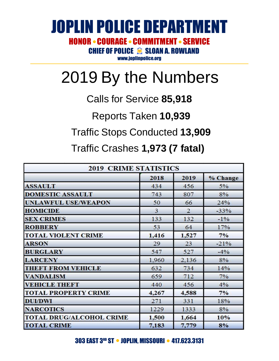### JOPLIN POLICE DEPARTMENT HONOR • COURAGE • COMMITMENT • SERVICE CHIEF OF POLICE **Search A. ROWLAND**

[www.joplinpolice.org](http://www.joplinpolice.org/)

## 2019 By the Numbers

### Calls for Service **85,918**

Reports Taken **10,939**

### Traffic Stops Conducted **13,909**

Traffic Crashes **1,973 (7 fatal)**

| <b>2019 CRIME STATISTICS</b>    |                |                |          |
|---------------------------------|----------------|----------------|----------|
|                                 | 2018           | 2019           | % Change |
| <b>ASSAULT</b>                  | 434            | 456            | $5\%$    |
| <b>DOMESTIC ASSAULT</b>         | 743            | 807            | 8%       |
| <b>UNLAWFUL USE/WEAPON</b>      | 50             | 66             | 24%      |
| <b>HOMICIDE</b>                 | $\overline{3}$ | $\overline{2}$ | $-33%$   |
| <b>SEX CRIMES</b>               | 133            | 132            | $-1\%$   |
| <b>ROBBERY</b>                  | 53             | 64             | 17%      |
| <b>TOTAL VIOLENT CRIME</b>      | 1,416          | 1,527          | 7%       |
| <b>ARSON</b>                    | 29             | 23             | $-21%$   |
| <b>BURGLARY</b>                 | 547            | 527            | $-4%$    |
| <b>LARCENY</b>                  | 1,960          | 2,136          | 8%       |
| <b>THEFT FROM VEHICLE</b>       | 632            | 734            | 14%      |
| <b>VANDALISM</b>                | 659            | 712            | 7%       |
| <b>VEHICLE THEFT</b>            | 440            | 456            | $4\%$    |
| <b>TOTAL PROPERTY CRIME</b>     | 4,267          | 4,588          | 7%       |
| <b>DUI/DWI</b>                  | 271            | 331            | 18%      |
| <b>NARCOTICS</b>                | 1229           | 1333           | 8%       |
| <b>TOTAL DRUG/ALCOHOL CRIME</b> | 1,500          | 1,664          | 10%      |
| <b>TOTAL CRIME</b>              | 7,183          | 7,779          | 8%       |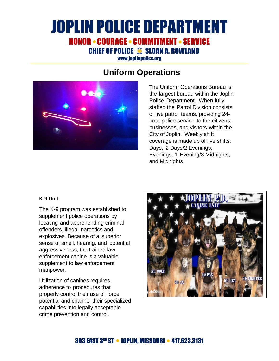CHIEF OF POLICE <sup>3</sup> SLOAN A. ROWLAND

[www.joplinpolice.org](http://www.joplinpolice.org/)

### **Uniform Operations**



The Uniform Operations Bureau is the largest bureau within the Joplin Police Department. When fully staffed the Patrol Division consists of five patrol teams, providing 24 hour police service to the citizens, businesses, and visitors within the City of Joplin. Weekly shift coverage is made up of five shifts: Days, 2 Days/2 Evenings, Evenings, 1 Evening/3 Midnights, and Midnights.

#### **K-9 Unit**

The K-9 program was established to supplement police operations by locating and apprehending criminal offenders, illegal narcotics and explosives. Because of a superior sense of smell, hearing, and potential aggressiveness, the trained law enforcement canine is a valuable supplement to law enforcement manpower.

Utilization of canines requires adherence to procedures that properly control their use of force potential and channel their specialized capabilities into legally acceptable crime prevention and control.

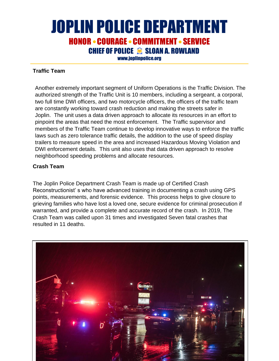### JOPLIN POLICE DEPARTMENT **HONOR • COURAGE • COMMITMENT • SERVICE** CHIEF OF POLICE <sup>3</sup> SLOAN A. ROWLAND

[www.joplinpolice.org](http://www.joplinpolice.org/)

#### **Traffic Team**

Another extremely important segment of Uniform Operations is the Traffic Division. The authorized strength of the Traffic Unit is 10 members, including a sergeant, a corporal, two full time DWI officers, and two motorcycle officers, the officers of the traffic team are constantly working toward crash reduction and making the streets safer in Joplin. The unit uses a data driven approach to allocate its resources in an effort to pinpoint the areas that need the most enforcement. The Traffic supervisor and members of the Traffic Team continue to develop innovative ways to enforce the traffic laws such as zero tolerance traffic details, the addition to the use of speed display trailers to measure speed in the area and increased Hazardous Moving Violation and DWI enforcement details. This unit also uses that data driven approach to resolve neighborhood speeding problems and allocate resources.

#### **Crash Team**

The Joplin Police Department Crash Team is made up of Certified Crash Reconstructionist' s who have advanced training in documenting a crash using GPS points, measurements, and forensic evidence. This process helps to give closure to grieving families who have lost a loved one, secure evidence for criminal prosecution if warranted, and provide a complete and accurate record of the crash. In 2019, The Crash Team was called upon 31 times and investigated Seven fatal crashes that resulted in 11 deaths.

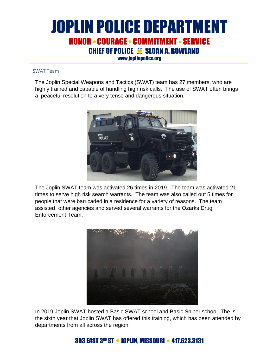### JOPLIN POLICE DEPARTMENT HONOR • COURAGE • COMMITMENT • SERVICE CHIEF OF POLICE <sup>S</sup> SLOAN A. ROWLAND

[www.joplinpolice.org](http://www.joplinpolice.org/)

#### SWAT Team

The Joplin Special Weapons and Tactics (SWAT) team has 27 members, who are highly trained and capable of handling high risk calls. The use of SWAT often brings a peaceful resolution to a very tense and dangerous situation.



The Joplin SWAT team was activated 26 times in 2019. The team was activated 21 times to serve high risk search warrants. The team was also called out 5 times for people that were barricaded in a residence for a variety of reasons. The team assisted other agencies and served several warrants for the Ozarks Drug Enforcement Team.



In 2019 Joplin SWAT hosted a Basic SWAT school and Basic Sniper school. The is the sixth year that Joplin SWAT has offered this training, which has been attended by departments from all across the region.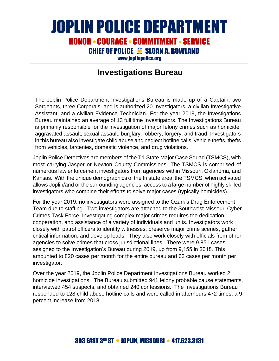CHIEF OF POLICE S SLOAN A. ROWLAND

[www.joplinpolice.org](http://www.joplinpolice.org/)

#### **Investigations Bureau**

The Joplin Police Department Investigations Bureau is made up of a Captain, two Sergeants, three Corporals, and is authorized 20 Investigators, a civilian Investigative Assistant, and a civilian Evidence Technician. For the year 2019, the Investigations Bureau maintained an average of 13 full time Investigators. The Investigations Bureau is primarily responsible for the investigation of major felony crimes such as homicide, aggravated assault, sexual assault, burglary, robbery, forgery, and fraud. Investigators in this bureau also investigate child abuse and neglect hotline calls, vehicle thefts, thefts from vehicles, larcenies, domestic violence, and drug violations.

Joplin Police Detectives are members of the Tri-State Major Case Squad (TSMCS), with most carrying Jasper or Newton County Commissions. The TSMCS is comprised of numerous law enforcement investigators from agencies within Missouri, Oklahoma, and Kansas. With the unique demographics of the tri state area, the TSMCS, when activated allows Joplin/and or the surrounding agencies, access to a large number of highly skilled investigators who combine their efforts to solve major cases (typically homicides).

For the year 2019, no investigators were assigned to the Ozark's Drug Enforcement Team due to staffing. Two investigators are attached to the Southwest Missouri Cyber Crimes Task Force. Investigating complex major crimes requires the dedication, cooperation, and assistance of a variety of individuals and units. Investigators work closely with patrol officers to identify witnesses, preserve major crime scenes, gather critical information, and develop leads. They also work closely with officials from other agencies to solve crimes that cross jurisdictional lines. There were 9,851 cases assigned to the Investigation's Bureau during 2019, up from 9,155 in 2018. This amounted to 820 cases per month for the entire bureau and 63 cases per month per investigator.

Over the year 2019, the Joplin Police Department Investigations Bureau worked 2 homicide investigations. The Bureau submitted 941 felony probable cause statements, interviewed 454 suspects, and obtained 240 confessions. The Investigations Bureau responded to 128 child abuse hotline calls and were called in afterhours 472 times, a 9 percent increase from 2018.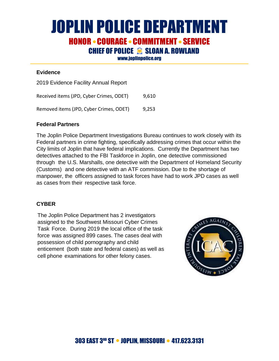**CHIEF OF POLICE S SLOAN A. ROWLAND** 

[www.joplinpolice.org](http://www.joplinpolice.org/)

#### **Evidence**

2019 Evidence Facility Annual Report

Received items (JPD, Cyber Crimes, ODET) 9,610

Removed items (JPD, Cyber Crimes, ODET) 9,253

#### **Federal Partners**

The Joplin Police Department Investigations Bureau continues to work closely with its Federal partners in crime fighting, specifically addressing crimes that occur within the City limits of Joplin that have federal implications. Currently the Department has two detectives attached to the FBI Taskforce in Joplin, one detective commissioned through the U.S. Marshalls, one detective with the Department of Homeland Security (Customs) and one detective with an ATF commission. Due to the shortage of manpower, the officers assigned to task forces have had to work JPD cases as well as cases from their respective task force.

#### **CYBER**

The Joplin Police Department has 2 investigators assigned to the Southwest Missouri Cyber Crimes Task Force. During 2019 the local office of the task force was assigned 899 cases. The cases deal with possession of child pornography and child enticement (both state and federal cases) as well as cell phone examinations for other felony cases.

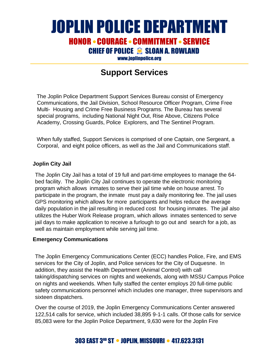## JOPLIN POLICE DEPARTMENT

**HONOR • COURAGE • COMMITMENT • SERVICE** 

**CHIEF OF POLICE SE SLOAN A. ROWLAND** 

[www.joplinpolice.org](http://www.joplinpolice.org/)

### **Support Services**

The Joplin Police Department Support Services Bureau consist of Emergency Communications, the Jail Division, School Resource Officer Program, Crime Free Multi- Housing and Crime Free Business Programs. The Bureau has several special programs, including National Night Out, Rise Above, Citizens Police Academy, Crossing Guards, Police Explorers, and The Sentinel Program.

When fully staffed, Support Services is comprised of one Captain, one Sergeant, a Corporal, and eight police officers, as well as the Jail and Communications staff.

#### **Joplin City Jail**

The Joplin City Jail has a total of 19 full and part-time employees to manage the 64 bed facility. The Joplin City Jail continues to operate the electronic monitoring program which allows inmates to serve their jail time while on house arrest. To participate in the program, the inmate must pay a daily monitoring fee. The jail uses GPS monitoring which allows for more participants and helps reduce the average daily population in the jail resulting in reduced cost for housing inmates. The jail also utilizes the Huber Work Release program, which allows inmates sentenced to serve jail days to make application to receive a furlough to go out and search for a job, as well as maintain employment while serving jail time.

#### **Emergency Communications**

The Joplin Emergency Communications Center (ECC) handles Police, Fire, and EMS services for the City of Joplin, and Police services for the City of Duquesne. In addition, they assist the Health Department (Animal Control) with call taking/dispatching services on nights and weekends, along with MSSU Campus Police on nights and weekends. When fully staffed the center employs 20 full-time public safety communications personnel which includes one manager, three supervisors and sixteen dispatchers.

Over the course of 2019, the Joplin Emergency Communications Center answered 122,514 calls for service, which included 38,895 9-1-1 calls. Of those calls for service 85,083 were for the Joplin Police Department, 9,630 were for the Joplin Fire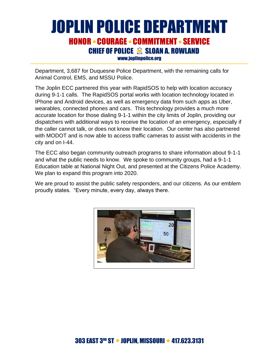### JOPLIN POLICE DEPARTMENT **HONOR • COURAGE • COMMITMENT • SERVICE** CHIEF OF POLICE S SLOAN A. ROWLAND

[www.joplinpolice.org](http://www.joplinpolice.org/)

Department, 3,687 for Duquesne Police Department, with the remaining calls for Animal Control, EMS, and MSSU Police.

The Joplin ECC partnered this year with RapidSOS to help with location accuracy during 9-1-1 calls. The RapidSOS portal works with location technology located in IPhone and Android devices, as well as emergency data from such apps as Uber, wearables, connected phones and cars. This technology provides a much more accurate location for those dialing 9-1-1 within the city limits of Joplin, providing our dispatchers with additional ways to receive the location of an emergency, especially if the caller cannot talk, or does not know their location. Our center has also partnered with MODOT and is now able to access traffic cameras to assist with accidents in the city and on I-44.

The ECC also began community outreach programs to share information about 9-1-1 and what the public needs to know. We spoke to community groups, had a 9-1-1 Education table at National Night Out, and presented at the Citizens Police Academy. We plan to expand this program into 2020.

We are proud to assist the public safety responders, and our citizens. As our emblem proudly states. "Every minute, every day, always there.